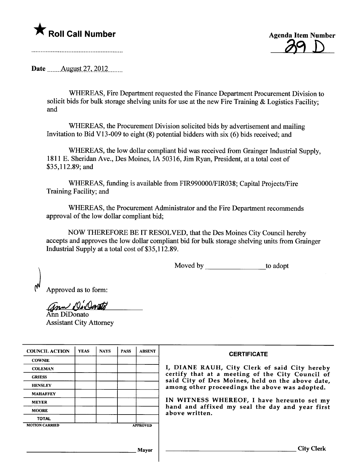

**Agenda Item Number** 

a de la concerta de la construcción de la construcción de la construcción de la construcción de la construcció<br>La construcción de la construcción de la construcción de la construcción de la construcción de la construcción

Date \_\_\_\_\_\_\_ August 27, 2012

WHEREAS, Fire Department requested the Finance Department Procurement Division to solicit bids for bulk storage shelving units for use at the new Fire Training & Logistics Facility; and

WHEREAS, the Procurement Division solicited bids by advertisement and mailing Invitation to Bid V13-009 to eight (8) potential bidders with six (6) bids received; and

WHEREAS, the low dollar compliant bid was received from Grainger Industrial Supply, 1811 E. Sheridan Ave., Des Moines, IA 50316, Jim Ryan, President, at a total cost of \$35,112.89; and

WHEREAS, fuding is available from FIR990000/FIR038; Capital Projects/Fire Training Facility; and

WHEREAS, the Procurement Administrator and the Fire Department recommends approval of the low dollar compliant bid;

NOW THEREFORE BE IT RESOLVED, that the Des Moines City Council hereby accepts and approves the low dollar compliant bid for bulk storage shelving unts from Grainger Industrial Supply at a total cost of \$35,112.89.

Moved by to adopt

) Approved as to form:

*Grow De Dento* 

Assistant City Attorney

| <b>COUNCIL ACTION</b> | <b>YEAS</b> | <b>NAYS</b> | <b>PASS</b> | <b>ABSENT</b>   | <b>CERTIFICATE</b>                                                                                   |
|-----------------------|-------------|-------------|-------------|-----------------|------------------------------------------------------------------------------------------------------|
| <b>COWNIE</b>         |             |             |             |                 |                                                                                                      |
| <b>COLEMAN</b>        |             |             |             |                 | I, DIANE RAUH, City Clerk of said City hereby                                                        |
| <b>GRIESS</b>         |             |             |             |                 | certify that at a meeting of the City Council of<br>said City of Des Moines, held on the above date, |
| <b>HENSLEY</b>        |             |             |             |                 | among other proceedings the above was adopted.                                                       |
| <b>MAHAFFEY</b>       |             |             |             |                 |                                                                                                      |
| <b>MEYER</b>          |             |             |             |                 | IN WITNESS WHEREOF, I have hereunto set my                                                           |
| <b>MOORE</b>          |             |             |             |                 | hand and affixed my seal the day and year first<br>above written.                                    |
| <b>TOTAL</b>          |             |             |             |                 |                                                                                                      |
| <b>MOTION CARRIED</b> |             |             |             | <b>APPROVED</b> |                                                                                                      |
|                       |             |             |             |                 |                                                                                                      |
|                       |             |             |             | Mayor           | <b>City Clerk</b>                                                                                    |